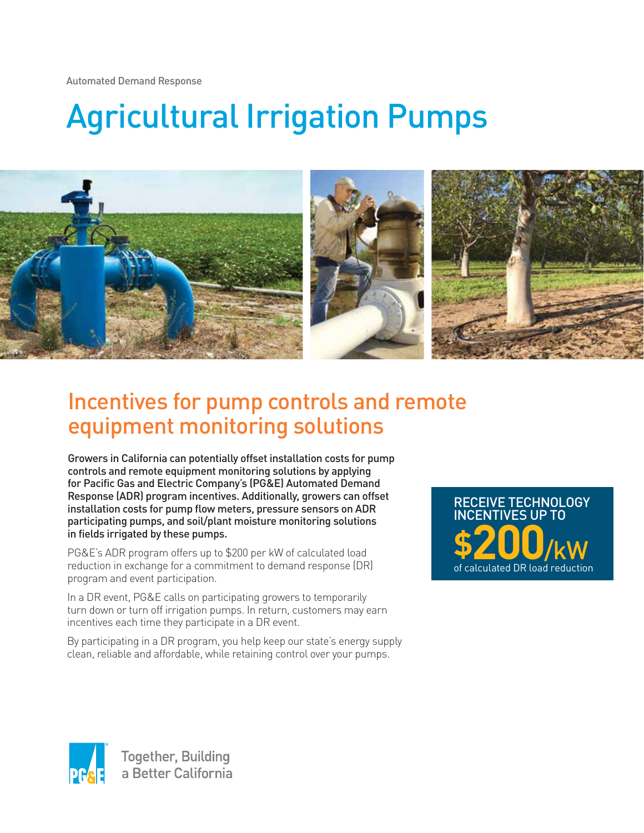Automated Demand Response

# Agricultural Irrigation Pumps



# Incentives for pump controls and remote equipment monitoring solutions

Growers in California can potentially offset installation costs for pump controls and remote equipment monitoring solutions by applying for Pacific Gas and Electric Company's (PG&E) Automated Demand Response (ADR) program incentives. Additionally, growers can offset installation costs for pump flow meters, pressure sensors on ADR participating pumps, and soil/plant moisture monitoring solutions in fields irrigated by these pumps.

PG&E's ADR program offers up to \$200 per kW of calculated load reduction in exchange for a commitment to demand response (DR) program and event participation.

In a DR event, PG&E calls on participating growers to temporarily turn down or turn off irrigation pumps. In return, customers may earn incentives each time they participate in a DR event.

By participating in a DR program, you help keep our state's energy supply clean, reliable and affordable, while retaining control over your pumps.

of calculated DR load reduction **\$200**/kW RECEIVE TECHNOLOGY **VES UP TO**